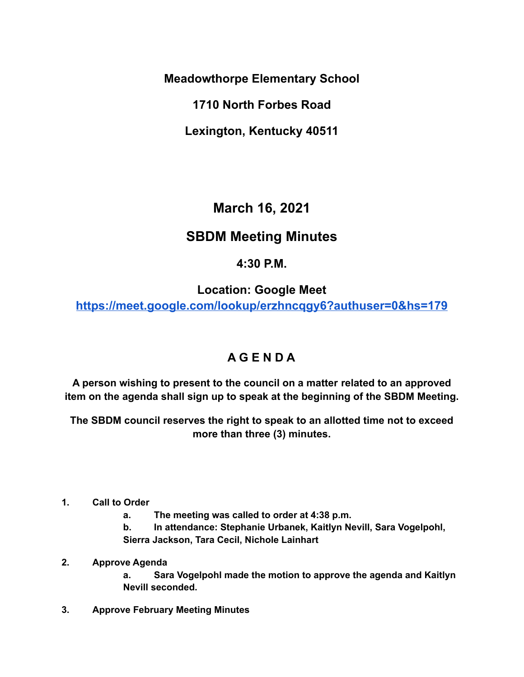**Meadowthorpe Elementary School**

**1710 North Forbes Road**

**Lexington, Kentucky 40511**

**March 16, 2021**

## **SBDM Meeting Minutes**

## **4:30 P.M.**

**Location: Google Mee[t](https://meet.google.com/lookup/erzhncqgy6?authuser=0&hs=179)**

**<https://meet.google.com/lookup/erzhncqgy6?authuser=0&hs=179>**

## **A G E N D A**

**A person wishing to present to the council on a matter related to an approved item on the agenda shall sign up to speak at the beginning of the SBDM Meeting.**

**The SBDM council reserves the right to speak to an allotted time not to exceed more than three (3) minutes.**

- **1. Call to Order**
	- **a. The meeting was called to order at 4:38 p.m.**

**b. In attendance: Stephanie Urbanek, Kaitlyn Nevill, Sara Vogelpohl, Sierra Jackson, Tara Cecil, Nichole Lainhart**

## **2. Approve Agenda**

**a. Sara Vogelpohl made the motion to approve the agenda and Kaitlyn Nevill seconded.**

**3. Approve February Meeting Minutes**